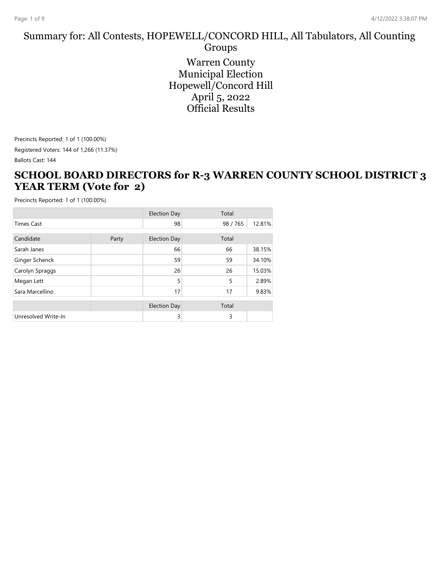# Summary for: All Contests, HOPEWELL/CONCORD HILL, All Tabulators, All Counting

Groups Warren County Municipal Election Hopewell/Concord Hill April 5, 2022 Official Results

Precincts Reported: 1 of 1 (100.00%) Registered Voters: 144 of 1,266 (11.37%)

Ballots Cast: 144

#### **SCHOOL BOARD DIRECTORS for R-3 WARREN COUNTY SCHOOL DISTRICT 3 YEAR TERM (Vote for 2)**

|                     |       | <b>Election Day</b> | Total  |        |
|---------------------|-------|---------------------|--------|--------|
| <b>Times Cast</b>   |       | 98                  | 98/765 | 12.81% |
| Candidate           | Party | <b>Election Day</b> | Total  |        |
| Sarah Janes         |       | 66                  | 66     | 38.15% |
| Ginger Schenck      |       | 59                  | 59     | 34.10% |
| Carolyn Spraggs     |       | 26                  | 26     | 15.03% |
| Megan Lett          |       | 5                   | 5      | 2.89%  |
| Sara Marcellino     |       | 17                  | 17     | 9.83%  |
|                     |       | <b>Election Day</b> | Total  |        |
| Unresolved Write-In |       | 3                   | 3      |        |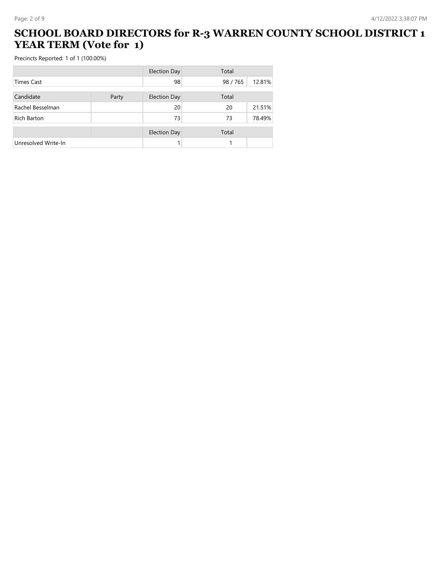### **SCHOOL BOARD DIRECTORS for R-3 WARREN COUNTY SCHOOL DISTRICT 1 YEAR TERM (Vote for 1)**

|                     |       | <b>Election Day</b> | Total  |        |
|---------------------|-------|---------------------|--------|--------|
| Times Cast          |       | 98                  | 98/765 | 12.81% |
| Candidate           | Party | <b>Election Day</b> | Total  |        |
| Rachel Besselman    |       | 20                  | 20     | 21.51% |
| <b>Rich Barton</b>  |       | 73                  | 73     | 78.49% |
|                     |       | <b>Election Day</b> | Total  |        |
| Unresolved Write-In |       |                     |        |        |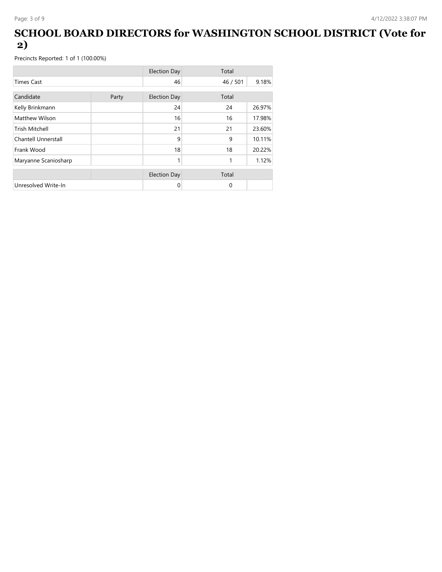### **SCHOOL BOARD DIRECTORS for WASHINGTON SCHOOL DISTRICT (Vote for 2)**

|                       |       | <b>Election Day</b> | Total    |        |
|-----------------------|-------|---------------------|----------|--------|
| <b>Times Cast</b>     |       | 46                  | 46 / 501 | 9.18%  |
| Candidate             | Party | <b>Election Day</b> | Total    |        |
| Kelly Brinkmann       |       | 24                  | 24       | 26.97% |
| Matthew Wilson        |       | 16                  | 16       | 17.98% |
| <b>Trish Mitchell</b> |       | 21                  | 21       | 23.60% |
| Chantell Unnerstall   |       | 9                   | 9        | 10.11% |
| Frank Wood            |       | 18                  | 18       | 20.22% |
| Maryanne Scaniosharp  |       | 1                   | 1        | 1.12%  |
|                       |       | <b>Election Day</b> | Total    |        |
| Unresolved Write-In   |       | 0                   | $\Omega$ |        |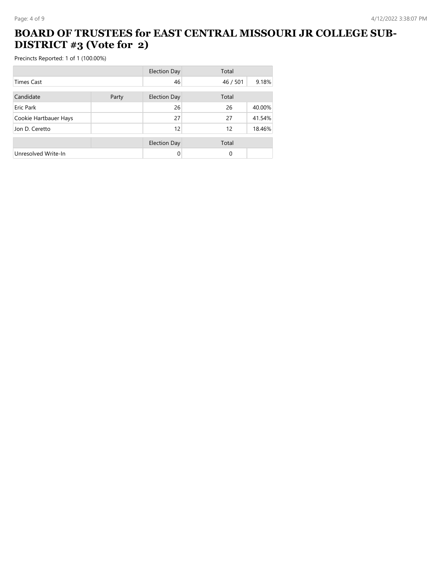### **BOARD OF TRUSTEES for EAST CENTRAL MISSOURI JR COLLEGE SUB-DISTRICT #3 (Vote for 2)**

|                       |       | <b>Election Day</b> | Total    |        |
|-----------------------|-------|---------------------|----------|--------|
| <b>Times Cast</b>     |       | 46                  | 46 / 501 | 9.18%  |
| Candidate             | Party | <b>Election Day</b> | Total    |        |
| Eric Park             |       | 26                  | 26       | 40.00% |
| Cookie Hartbauer Hays |       | 27                  | 27       | 41.54% |
| Jon D. Ceretto        |       | 12                  | 12       | 18.46% |
|                       |       | <b>Election Day</b> | Total    |        |
| Unresolved Write-In   |       |                     | $\Omega$ |        |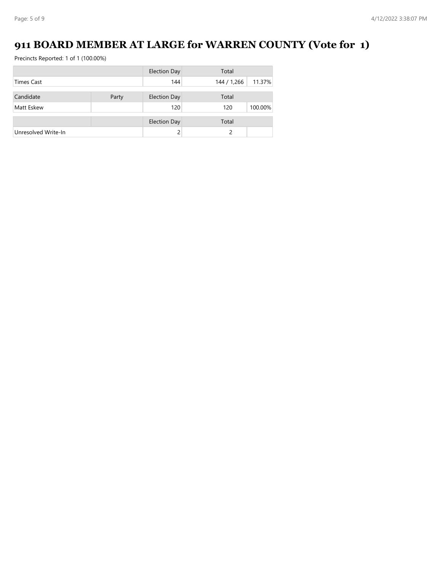## **911 BOARD MEMBER AT LARGE for WARREN COUNTY (Vote for 1)**

|                     |       | <b>Election Day</b> | Total       |         |
|---------------------|-------|---------------------|-------------|---------|
| <b>Times Cast</b>   |       | 144                 | 144 / 1,266 | 11.37%  |
|                     |       |                     |             |         |
| Candidate           | Party | <b>Election Day</b> | Total       |         |
| Matt Eskew          |       | 120                 | 120         | 100.00% |
|                     |       |                     | Total       |         |
|                     |       | <b>Election Day</b> |             |         |
| Unresolved Write-In |       |                     | ς           |         |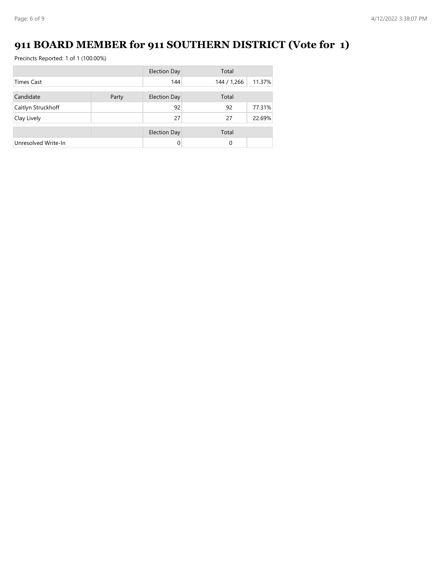## **911 BOARD MEMBER for 911 SOUTHERN DISTRICT (Vote for 1)**

|                     |       | Election Day        | Total       |        |
|---------------------|-------|---------------------|-------------|--------|
| <b>Times Cast</b>   |       | 144                 | 144 / 1,266 | 11.37% |
| Candidate           |       |                     | Total       |        |
|                     | Party | <b>Election Day</b> |             |        |
| Caitlyn Struckhoff  |       | 92                  | 92          | 77.31% |
| Clay Lively         |       | 27                  | 27          | 22.69% |
|                     |       | <b>Election Day</b> | Total       |        |
| Unresolved Write-In |       | 0                   | 0           |        |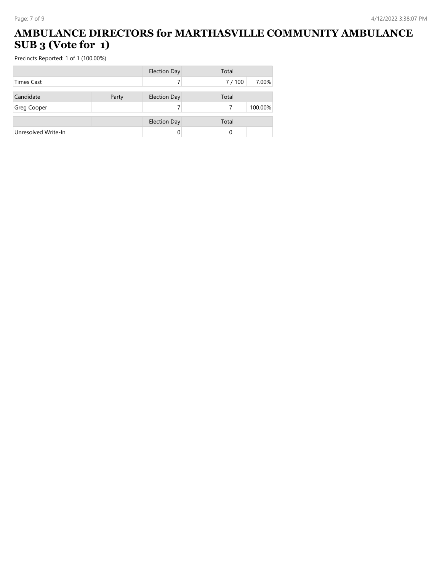### **AMBULANCE DIRECTORS for MARTHASVILLE COMMUNITY AMBULANCE SUB 3 (Vote for 1)**

|                     |       | <b>Election Day</b> | Total |         |
|---------------------|-------|---------------------|-------|---------|
| <b>Times Cast</b>   |       |                     | 7/100 | 7.00%   |
| Candidate           | Party | <b>Election Day</b> | Total |         |
| <b>Greg Cooper</b>  |       |                     |       | 100.00% |
|                     |       | <b>Election Day</b> | Total |         |
| Unresolved Write-In |       | 0                   | 0     |         |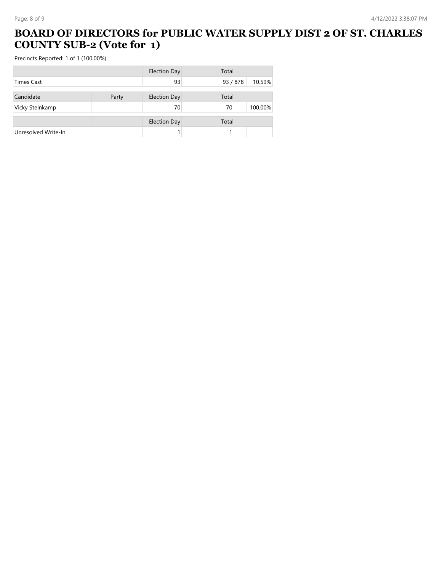#### **BOARD OF DIRECTORS for PUBLIC WATER SUPPLY DIST 2 OF ST. CHARLES COUNTY SUB-2 (Vote for 1)**

|                     |       | <b>Election Day</b> | Total    |         |
|---------------------|-------|---------------------|----------|---------|
| <b>Times Cast</b>   |       | 93                  | 93 / 878 | 10.59%  |
| Candidate           |       |                     | Total    |         |
|                     | Party | <b>Election Day</b> |          |         |
| Vicky Steinkamp     |       | 70                  | 70       | 100.00% |
|                     |       | <b>Election Day</b> | Total    |         |
| Unresolved Write-In |       |                     |          |         |